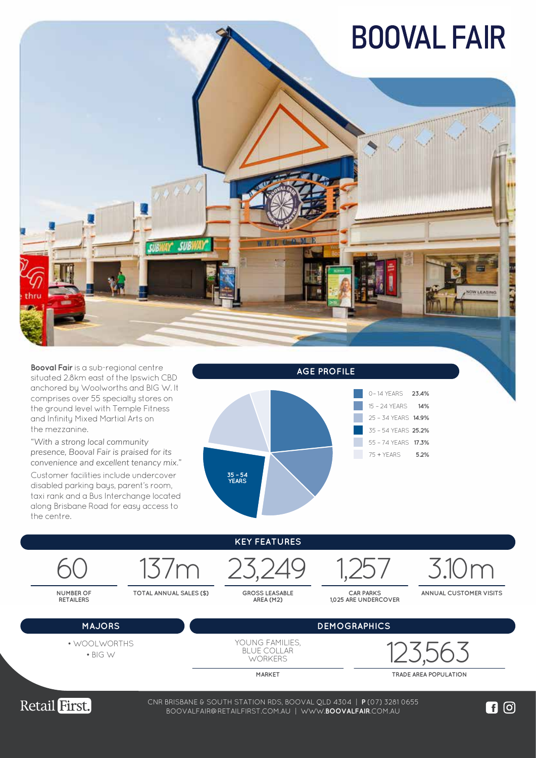## **BOOVAL FAIR**



**Booval Fair** is a sub-regional centre situated 2.8km east of the Ipswich CBD anchored by Woolworths and BIG W. It comprises over 55 specialty stores on the ground level with Temple Fitness and Infinity Mixed Martial Arts on the mezzanine.

*"With a strong local community presence, Booval Fair is praised for its convenience and excellent tenancy mix."*

Customer facilities include undercover disabled parking bays, parent's room, taxi rank and a Bus Interchange located along Brisbane Road for easy access to the centre.



|  | <b>KEY FEATURES</b> |  |
|--|---------------------|--|
|--|---------------------|--|

GROSS LEASABLE<br>AREA (M2)

**CAR PARKS 1,025 ARE UNDERCOVER**

**MAJORS DEMOGRAPHICS**

137m 23,249 1,257 3.10m

**ANNUAL CUSTOMER VISITS**

|  | <b>MAJOR:</b> |  |
|--|---------------|--|

**NUMBER OF RETAILERS**

• BIG W

**TOTAL ANNUAL SALES (\$)** 

YOUNG FAMILIES, BLUE COLLAR **WORKERS** 

123,563 • WOOLWORTHS

**MARKET TRADE AREA POPULATION**



38-74 WEMBLEY ROAD, LOGAN CENTRAL QLD 4114 | **P** (07) 3208 0988 CNR BRISBANE & SOUTH STATION RDS, BOOVAL QLD 4304 | **P** (07) 3281 0655 WWW.**LOGANCENTRALPLAZA**.COM.AU BOOVALFAIR@RETAILFIRST.COM.AU | WWW.**BOOVALFAIR**.COM.AU